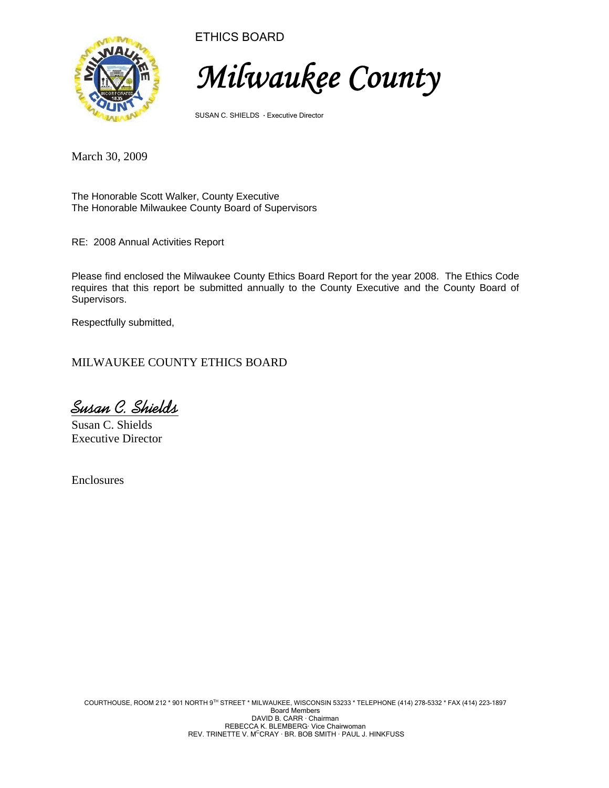

ETHICS BOARD

*Milwaukee County* 

SUSAN C. SHIELDS · Executive Director

March 30, 2009

The Honorable Scott Walker, County Executive The Honorable Milwaukee County Board of Supervisors

RE: 2008 Annual Activities Report

Please find enclosed the Milwaukee County Ethics Board Report for the year 2008. The Ethics Code requires that this report be submitted annually to the County Executive and the County Board of Supervisors.

Respectfully submitted,

MILWAUKEE COUNTY ETHICS BOARD

Susan C. Shields

Susan C. Shields Executive Director

Enclosures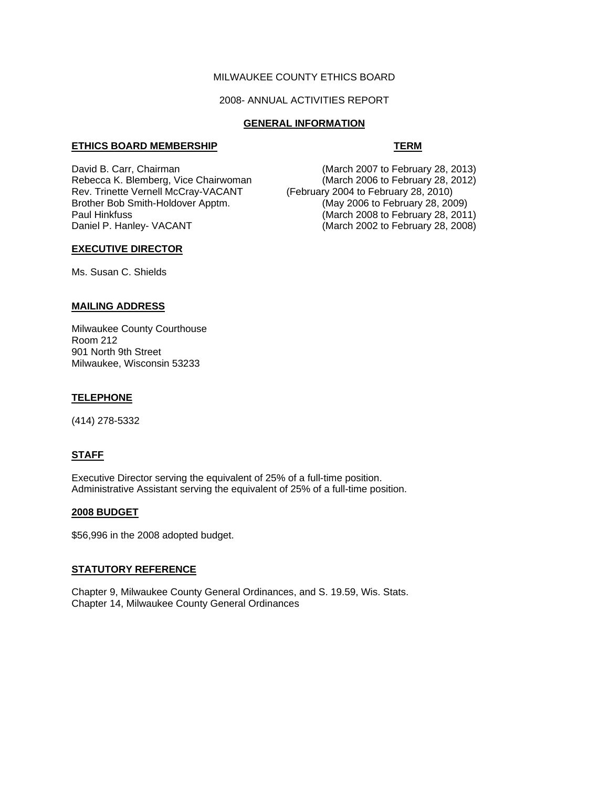## MILWAUKEE COUNTY ETHICS BOARD

### 2008- ANNUAL ACTIVITIES REPORT

## **GENERAL INFORMATION**

#### **ETHICS BOARD MEMBERSHIP TERM**

David B. Carr, Chairman (March 2007 to February 28, 2013)<br>Rebecca K. Blemberg, Vice Chairwoman (March 2006 to February 28, 2012) Rebecca K. Blemberg, Vice Chairwoman Rev. Trinette Vernell McCray-VACANT (February 2004 to February 28, 2010)<br>Brother Bob Smith-Holdover Apptm. (May 2006 to February 28, 2009) Brother Bob Smith-Holdover Apptm.<br>Paul Hinkfuss

 $(March 2008$  to February 28, 2011) Daniel P. Hanley- VACANT (March 2002 to February 28, 2008)

## **EXECUTIVE DIRECTOR**

Ms. Susan C. Shields

## **MAILING ADDRESS**

Milwaukee County Courthouse Room 212 901 North 9th Street Milwaukee, Wisconsin 53233

## **TELEPHONE**

(414) 278-5332

## **STAFF**

Executive Director serving the equivalent of 25% of a full-time position. Administrative Assistant serving the equivalent of 25% of a full-time position.

### **2008 BUDGET**

\$56,996 in the 2008 adopted budget.

### **STATUTORY REFERENCE**

Chapter 9, Milwaukee County General Ordinances, and S. 19.59, Wis. Stats. Chapter 14, Milwaukee County General Ordinances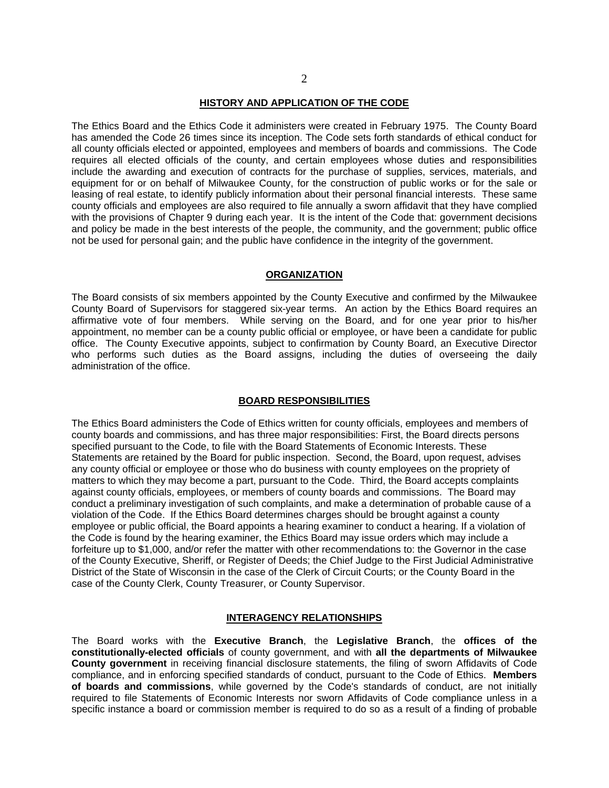#### **HISTORY AND APPLICATION OF THE CODE**

The Ethics Board and the Ethics Code it administers were created in February 1975. The County Board has amended the Code 26 times since its inception. The Code sets forth standards of ethical conduct for all county officials elected or appointed, employees and members of boards and commissions. The Code requires all elected officials of the county, and certain employees whose duties and responsibilities include the awarding and execution of contracts for the purchase of supplies, services, materials, and equipment for or on behalf of Milwaukee County, for the construction of public works or for the sale or leasing of real estate, to identify publicly information about their personal financial interests. These same county officials and employees are also required to file annually a sworn affidavit that they have complied with the provisions of Chapter 9 during each year. It is the intent of the Code that: government decisions and policy be made in the best interests of the people, the community, and the government; public office not be used for personal gain; and the public have confidence in the integrity of the government.

#### **ORGANIZATION**

The Board consists of six members appointed by the County Executive and confirmed by the Milwaukee County Board of Supervisors for staggered six-year terms. An action by the Ethics Board requires an affirmative vote of four members. While serving on the Board, and for one year prior to his/her appointment, no member can be a county public official or employee, or have been a candidate for public office. The County Executive appoints, subject to confirmation by County Board, an Executive Director who performs such duties as the Board assigns, including the duties of overseeing the daily administration of the office.

#### **BOARD RESPONSIBILITIES**

The Ethics Board administers the Code of Ethics written for county officials, employees and members of county boards and commissions, and has three major responsibilities: First, the Board directs persons specified pursuant to the Code, to file with the Board Statements of Economic Interests. These Statements are retained by the Board for public inspection. Second, the Board, upon request, advises any county official or employee or those who do business with county employees on the propriety of matters to which they may become a part, pursuant to the Code. Third, the Board accepts complaints against county officials, employees, or members of county boards and commissions. The Board may conduct a preliminary investigation of such complaints, and make a determination of probable cause of a violation of the Code. If the Ethics Board determines charges should be brought against a county employee or public official, the Board appoints a hearing examiner to conduct a hearing. If a violation of the Code is found by the hearing examiner, the Ethics Board may issue orders which may include a forfeiture up to \$1,000, and/or refer the matter with other recommendations to: the Governor in the case of the County Executive, Sheriff, or Register of Deeds; the Chief Judge to the First Judicial Administrative District of the State of Wisconsin in the case of the Clerk of Circuit Courts; or the County Board in the case of the County Clerk, County Treasurer, or County Supervisor.

#### **INTERAGENCY RELATIONSHIPS**

The Board works with the **Executive Branch**, the **Legislative Branch**, the **offices of the constitutionally-elected officials** of county government, and with **all the departments of Milwaukee County government** in receiving financial disclosure statements, the filing of sworn Affidavits of Code compliance, and in enforcing specified standards of conduct, pursuant to the Code of Ethics. **Members of boards and commissions**, while governed by the Code's standards of conduct, are not initially required to file Statements of Economic Interests nor sworn Affidavits of Code compliance unless in a specific instance a board or commission member is required to do so as a result of a finding of probable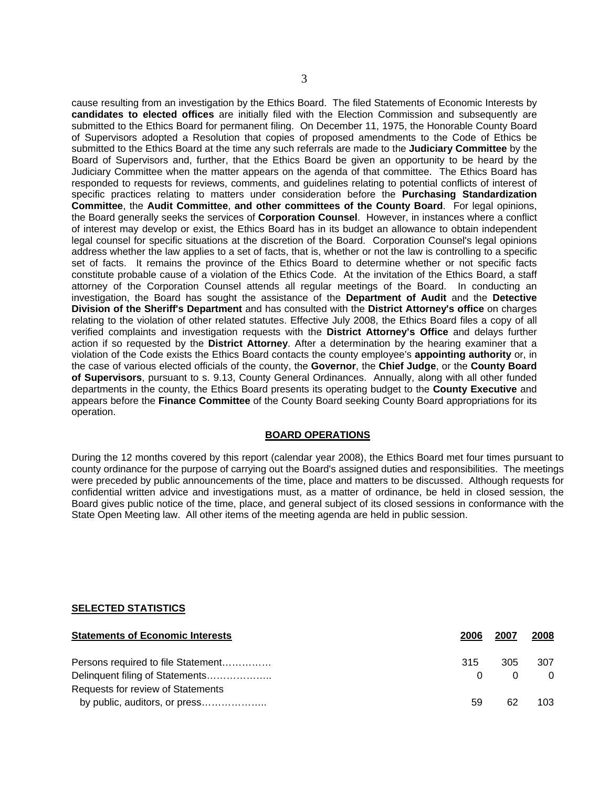cause resulting from an investigation by the Ethics Board. The filed Statements of Economic Interests by **candidates to elected offices** are initially filed with the Election Commission and subsequently are submitted to the Ethics Board for permanent filing. On December 11, 1975, the Honorable County Board of Supervisors adopted a Resolution that copies of proposed amendments to the Code of Ethics be submitted to the Ethics Board at the time any such referrals are made to the **Judiciary Committee** by the Board of Supervisors and, further, that the Ethics Board be given an opportunity to be heard by the Judiciary Committee when the matter appears on the agenda of that committee. The Ethics Board has responded to requests for reviews, comments, and guidelines relating to potential conflicts of interest of specific practices relating to matters under consideration before the **Purchasing Standardization Committee**, the **Audit Committee**, **and other committees of the County Board**. For legal opinions, the Board generally seeks the services of **Corporation Counsel**. However, in instances where a conflict of interest may develop or exist, the Ethics Board has in its budget an allowance to obtain independent legal counsel for specific situations at the discretion of the Board. Corporation Counsel's legal opinions address whether the law applies to a set of facts, that is, whether or not the law is controlling to a specific set of facts. It remains the province of the Ethics Board to determine whether or not specific facts constitute probable cause of a violation of the Ethics Code. At the invitation of the Ethics Board, a staff attorney of the Corporation Counsel attends all regular meetings of the Board. In conducting an investigation, the Board has sought the assistance of the **Department of Audit** and the **Detective Division of the Sheriff's Department** and has consulted with the **District Attorney's office** on charges relating to the violation of other related statutes. Effective July 2008, the Ethics Board files a copy of all verified complaints and investigation requests with the **District Attorney's Office** and delays further action if so requested by the **District Attorney**. After a determination by the hearing examiner that a violation of the Code exists the Ethics Board contacts the county employee's **appointing authority** or, in the case of various elected officials of the county, the **Governor**, the **Chief Judge**, or the **County Board of Supervisors**, pursuant to s. 9.13, County General Ordinances. Annually, along with all other funded departments in the county, the Ethics Board presents its operating budget to the **County Executive** and appears before the **Finance Committee** of the County Board seeking County Board appropriations for its operation.

#### **BOARD OPERATIONS**

During the 12 months covered by this report (calendar year 2008), the Ethics Board met four times pursuant to county ordinance for the purpose of carrying out the Board's assigned duties and responsibilities. The meetings were preceded by public announcements of the time, place and matters to be discussed. Although requests for confidential written advice and investigations must, as a matter of ordinance, be held in closed session, the Board gives public notice of the time, place, and general subject of its closed sessions in conformance with the State Open Meeting law. All other items of the meeting agenda are held in public session.

#### **SELECTED STATISTICS**

| <b>Statements of Economic Interests</b> | 2006         | 2007 | 2008     |
|-----------------------------------------|--------------|------|----------|
| Persons required to file Statement      | 315          | 305  | 307      |
| Delinquent filing of Statements         | $\mathbf{U}$ |      | $\Omega$ |
| Requests for review of Statements       |              |      |          |
| by public, auditors, or press           | 59           | 62   | 103.     |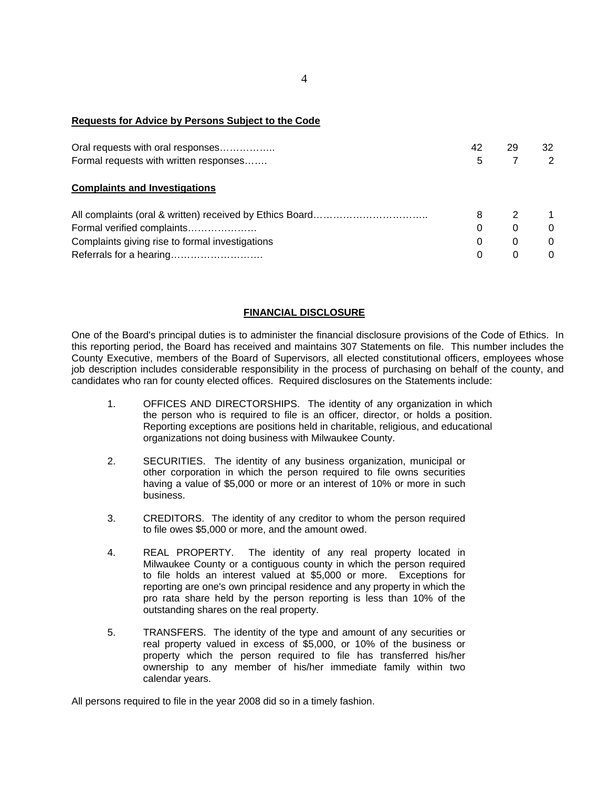## **Requests for Advice by Persons Subject to the Code**

| Oral requests with oral responses<br>Formal requests with written responses | 42<br>5 | 29 | 32<br>$\mathcal{P}$ |
|-----------------------------------------------------------------------------|---------|----|---------------------|
| <b>Complaints and Investigations</b>                                        |         |    |                     |
|                                                                             | 8       |    |                     |
| Formal verified complaints                                                  | 0       | 0  | $\Omega$            |
| Complaints giving rise to formal investigations                             | 0       | 0  | $\Omega$            |
|                                                                             |         |    | $\Omega$            |

## **FINANCIAL DISCLOSURE**

One of the Board's principal duties is to administer the financial disclosure provisions of the Code of Ethics. In this reporting period, the Board has received and maintains 307 Statements on file. This number includes the County Executive, members of the Board of Supervisors, all elected constitutional officers, employees whose job description includes considerable responsibility in the process of purchasing on behalf of the county, and candidates who ran for county elected offices. Required disclosures on the Statements include:

- 1. OFFICES AND DIRECTORSHIPS. The identity of any organization in which the person who is required to file is an officer, director, or holds a position. Reporting exceptions are positions held in charitable, religious, and educational organizations not doing business with Milwaukee County.
- 2. SECURITIES. The identity of any business organization, municipal or other corporation in which the person required to file owns securities having a value of \$5,000 or more or an interest of 10% or more in such business.
- 3. CREDITORS. The identity of any creditor to whom the person required to file owes \$5,000 or more, and the amount owed.
- 4. REAL PROPERTY. The identity of any real property located in Milwaukee County or a contiguous county in which the person required to file holds an interest valued at \$5,000 or more. Exceptions for reporting are one's own principal residence and any property in which the pro rata share held by the person reporting is less than 10% of the outstanding shares on the real property.
- 5. TRANSFERS. The identity of the type and amount of any securities or real property valued in excess of \$5,000, or 10% of the business or property which the person required to file has transferred his/her ownership to any member of his/her immediate family within two calendar years.

All persons required to file in the year 2008 did so in a timely fashion.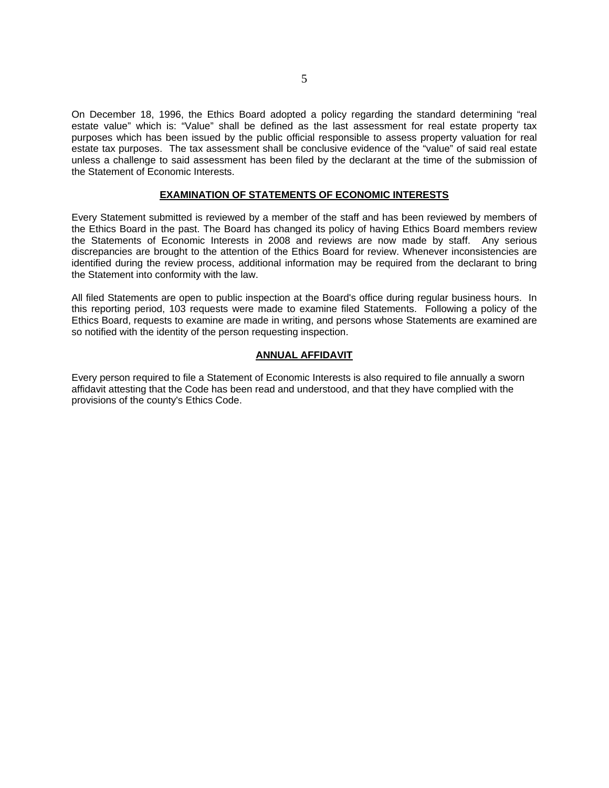On December 18, 1996, the Ethics Board adopted a policy regarding the standard determining "real estate value" which is: "Value" shall be defined as the last assessment for real estate property tax purposes which has been issued by the public official responsible to assess property valuation for real estate tax purposes. The tax assessment shall be conclusive evidence of the "value" of said real estate unless a challenge to said assessment has been filed by the declarant at the time of the submission of the Statement of Economic Interests.

#### **EXAMINATION OF STATEMENTS OF ECONOMIC INTERESTS**

Every Statement submitted is reviewed by a member of the staff and has been reviewed by members of the Ethics Board in the past. The Board has changed its policy of having Ethics Board members review the Statements of Economic Interests in 2008 and reviews are now made by staff. Any serious discrepancies are brought to the attention of the Ethics Board for review. Whenever inconsistencies are identified during the review process, additional information may be required from the declarant to bring the Statement into conformity with the law.

All filed Statements are open to public inspection at the Board's office during regular business hours. In this reporting period, 103 requests were made to examine filed Statements. Following a policy of the Ethics Board, requests to examine are made in writing, and persons whose Statements are examined are so notified with the identity of the person requesting inspection.

#### **ANNUAL AFFIDAVIT**

Every person required to file a Statement of Economic Interests is also required to file annually a sworn affidavit attesting that the Code has been read and understood, and that they have complied with the provisions of the county's Ethics Code.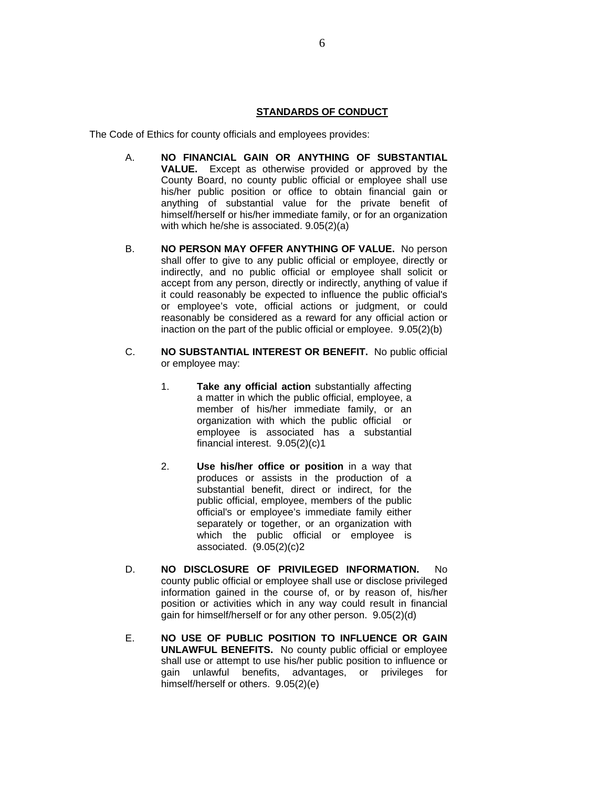#### **STANDARDS OF CONDUCT**

The Code of Ethics for county officials and employees provides:

- A. **NO FINANCIAL GAIN OR ANYTHING OF SUBSTANTIAL VALUE.** Except as otherwise provided or approved by the County Board, no county public official or employee shall use his/her public position or office to obtain financial gain or anything of substantial value for the private benefit of himself/herself or his/her immediate family, or for an organization with which he/she is associated. 9.05(2)(a)
- B. **NO PERSON MAY OFFER ANYTHING OF VALUE.** No person shall offer to give to any public official or employee, directly or indirectly, and no public official or employee shall solicit or accept from any person, directly or indirectly, anything of value if it could reasonably be expected to influence the public official's or employee's vote, official actions or judgment, or could reasonably be considered as a reward for any official action or inaction on the part of the public official or employee. 9.05(2)(b)
- C. **NO SUBSTANTIAL INTEREST OR BENEFIT.** No public official or employee may:
	- 1. **Take any official action** substantially affecting a matter in which the public official, employee, a member of his/her immediate family, or an organization with which the public official or employee is associated has a substantial financial interest. 9.05(2)(c)1
	- 2. **Use his/her office or position** in a way that produces or assists in the production of a substantial benefit, direct or indirect, for the public official, employee, members of the public official's or employee's immediate family either separately or together, or an organization with which the public official or employee is associated. (9.05(2)(c)2
- D. **NO DISCLOSURE OF PRIVILEGED INFORMATION.** No county public official or employee shall use or disclose privileged information gained in the course of, or by reason of, his/her position or activities which in any way could result in financial gain for himself/herself or for any other person. 9.05(2)(d)
- E. **NO USE OF PUBLIC POSITION TO INFLUENCE OR GAIN UNLAWFUL BENEFITS.** No county public official or employee shall use or attempt to use his/her public position to influence or gain unlawful benefits, advantages, or privileges for himself/herself or others. 9.05(2)(e)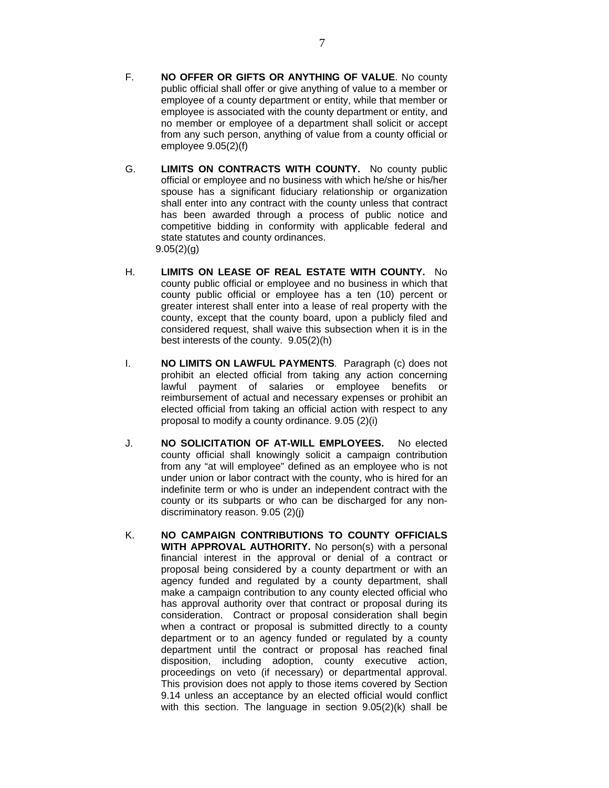- F. **NO OFFER OR GIFTS OR ANYTHING OF VALUE**. No county public official shall offer or give anything of value to a member or employee of a county department or entity, while that member or employee is associated with the county department or entity, and no member or employee of a department shall solicit or accept from any such person, anything of value from a county official or employee 9.05(2)(f)
- G. **LIMITS ON CONTRACTS WITH COUNTY.** No county public official or employee and no business with which he/she or his/her spouse has a significant fiduciary relationship or organization shall enter into any contract with the county unless that contract has been awarded through a process of public notice and competitive bidding in conformity with applicable federal and state statutes and county ordinances.  $9.05(2)(q)$
- H. **LIMITS ON LEASE OF REAL ESTATE WITH COUNTY.** No county public official or employee and no business in which that county public official or employee has a ten (10) percent or greater interest shall enter into a lease of real property with the county, except that the county board, upon a publicly filed and considered request, shall waive this subsection when it is in the best interests of the county. 9.05(2)(h)
- I. **NO LIMITS ON LAWFUL PAYMENTS**. Paragraph (c) does not prohibit an elected official from taking any action concerning lawful payment of salaries or employee benefits or reimbursement of actual and necessary expenses or prohibit an elected official from taking an official action with respect to any proposal to modify a county ordinance. 9.05 (2)(i)
- J. **NO SOLICITATION OF AT-WILL EMPLOYEES.** No elected county official shall knowingly solicit a campaign contribution from any "at will employee" defined as an employee who is not under union or labor contract with the county, who is hired for an indefinite term or who is under an independent contract with the county or its subparts or who can be discharged for any nondiscriminatory reason. 9.05 (2)(j)
- K. **NO CAMPAIGN CONTRIBUTIONS TO COUNTY OFFICIALS WITH APPROVAL AUTHORITY.** No person(s) with a personal financial interest in the approval or denial of a contract or proposal being considered by a county department or with an agency funded and regulated by a county department, shall make a campaign contribution to any county elected official who has approval authority over that contract or proposal during its consideration. Contract or proposal consideration shall begin when a contract or proposal is submitted directly to a county department or to an agency funded or regulated by a county department until the contract or proposal has reached final disposition, including adoption, county executive action, proceedings on veto (if necessary) or departmental approval. This provision does not apply to those items covered by Section 9.14 unless an acceptance by an elected official would conflict with this section. The language in section 9.05(2)(k) shall be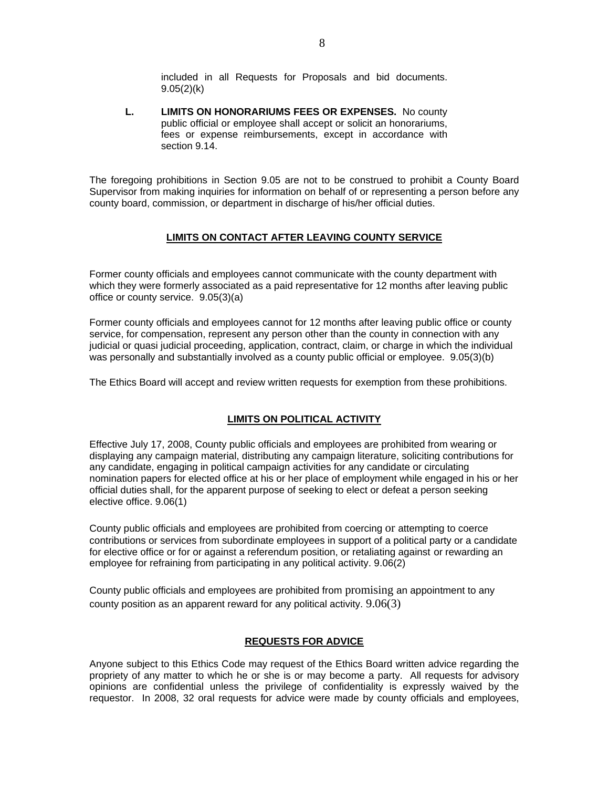included in all Requests for Proposals and bid documents.  $9.05(2)(k)$ 

**L. LIMITS ON HONORARIUMS FEES OR EXPENSES.** No county public official or employee shall accept or solicit an honorariums, fees or expense reimbursements, except in accordance with section 9.14.

The foregoing prohibitions in Section 9.05 are not to be construed to prohibit a County Board Supervisor from making inquiries for information on behalf of or representing a person before any county board, commission, or department in discharge of his/her official duties.

# **LIMITS ON CONTACT AFTER LEAVING COUNTY SERVICE**

Former county officials and employees cannot communicate with the county department with which they were formerly associated as a paid representative for 12 months after leaving public office or county service. 9.05(3)(a)

Former county officials and employees cannot for 12 months after leaving public office or county service, for compensation, represent any person other than the county in connection with any judicial or quasi judicial proceeding, application, contract, claim, or charge in which the individual was personally and substantially involved as a county public official or employee. 9.05(3)(b)

The Ethics Board will accept and review written requests for exemption from these prohibitions.

## **LIMITS ON POLITICAL ACTIVITY**

Effective July 17, 2008, County public officials and employees are prohibited from wearing or displaying any campaign material, distributing any campaign literature, soliciting contributions for any candidate, engaging in political campaign activities for any candidate or circulating nomination papers for elected office at his or her place of employment while engaged in his or her official duties shall, for the apparent purpose of seeking to elect or defeat a person seeking elective office. 9.06(1)

County public officials and employees are prohibited from coercing or attempting to coerce contributions or services from subordinate employees in support of a political party or a candidate for elective office or for or against a referendum position, or retaliating against or rewarding an employee for refraining from participating in any political activity. 9.06(2)

County public officials and employees are prohibited from promising an appointment to any county position as an apparent reward for any political activity. 9.06(3)

## **REQUESTS FOR ADVICE**

Anyone subject to this Ethics Code may request of the Ethics Board written advice regarding the propriety of any matter to which he or she is or may become a party. All requests for advisory opinions are confidential unless the privilege of confidentiality is expressly waived by the requestor. In 2008, 32 oral requests for advice were made by county officials and employees,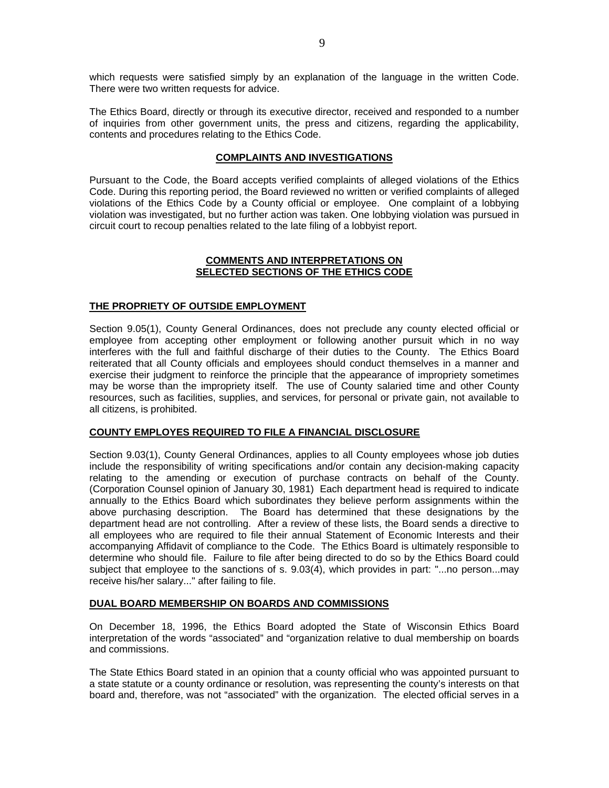which requests were satisfied simply by an explanation of the language in the written Code. There were two written requests for advice.

The Ethics Board, directly or through its executive director, received and responded to a number of inquiries from other government units, the press and citizens, regarding the applicability, contents and procedures relating to the Ethics Code.

## **COMPLAINTS AND INVESTIGATIONS**

Pursuant to the Code, the Board accepts verified complaints of alleged violations of the Ethics Code. During this reporting period, the Board reviewed no written or verified complaints of alleged violations of the Ethics Code by a County official or employee. One complaint of a lobbying violation was investigated, but no further action was taken. One lobbying violation was pursued in circuit court to recoup penalties related to the late filing of a lobbyist report.

#### **COMMENTS AND INTERPRETATIONS ON SELECTED SECTIONS OF THE ETHICS CODE**

## **THE PROPRIETY OF OUTSIDE EMPLOYMENT**

Section 9.05(1), County General Ordinances, does not preclude any county elected official or employee from accepting other employment or following another pursuit which in no way interferes with the full and faithful discharge of their duties to the County. The Ethics Board reiterated that all County officials and employees should conduct themselves in a manner and exercise their judgment to reinforce the principle that the appearance of impropriety sometimes may be worse than the impropriety itself. The use of County salaried time and other County resources, such as facilities, supplies, and services, for personal or private gain, not available to all citizens, is prohibited.

## **COUNTY EMPLOYES REQUIRED TO FILE A FINANCIAL DISCLOSURE**

Section 9.03(1), County General Ordinances, applies to all County employees whose job duties include the responsibility of writing specifications and/or contain any decision-making capacity relating to the amending or execution of purchase contracts on behalf of the County. (Corporation Counsel opinion of January 30, 1981) Each department head is required to indicate annually to the Ethics Board which subordinates they believe perform assignments within the above purchasing description. The Board has determined that these designations by the department head are not controlling. After a review of these lists, the Board sends a directive to all employees who are required to file their annual Statement of Economic Interests and their accompanying Affidavit of compliance to the Code. The Ethics Board is ultimately responsible to determine who should file. Failure to file after being directed to do so by the Ethics Board could subject that employee to the sanctions of s. 9.03(4), which provides in part: "...no person...may receive his/her salary..." after failing to file.

### **DUAL BOARD MEMBERSHIP ON BOARDS AND COMMISSIONS**

On December 18, 1996, the Ethics Board adopted the State of Wisconsin Ethics Board interpretation of the words "associated" and "organization relative to dual membership on boards and commissions.

The State Ethics Board stated in an opinion that a county official who was appointed pursuant to a state statute or a county ordinance or resolution, was representing the county's interests on that board and, therefore, was not "associated" with the organization. The elected official serves in a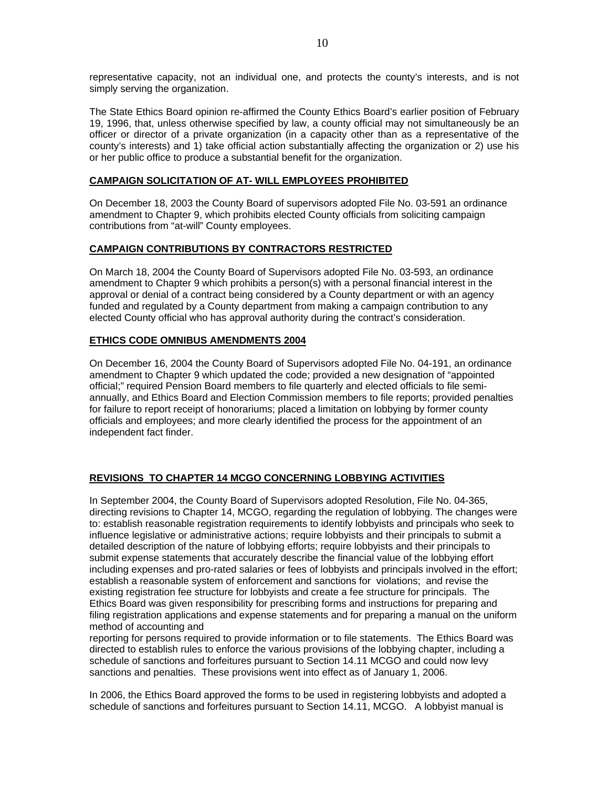representative capacity, not an individual one, and protects the county's interests, and is not simply serving the organization.

The State Ethics Board opinion re-affirmed the County Ethics Board's earlier position of February 19, 1996, that, unless otherwise specified by law, a county official may not simultaneously be an officer or director of a private organization (in a capacity other than as a representative of the county's interests) and 1) take official action substantially affecting the organization or 2) use his or her public office to produce a substantial benefit for the organization.

# **CAMPAIGN SOLICITATION OF AT- WILL EMPLOYEES PROHIBITED**

On December 18, 2003 the County Board of supervisors adopted File No. 03-591 an ordinance amendment to Chapter 9, which prohibits elected County officials from soliciting campaign contributions from "at-will" County employees.

# **CAMPAIGN CONTRIBUTIONS BY CONTRACTORS RESTRICTED**

On March 18, 2004 the County Board of Supervisors adopted File No. 03-593, an ordinance amendment to Chapter 9 which prohibits a person(s) with a personal financial interest in the approval or denial of a contract being considered by a County department or with an agency funded and regulated by a County department from making a campaign contribution to any elected County official who has approval authority during the contract's consideration.

## **ETHICS CODE OMNIBUS AMENDMENTS 2004**

On December 16, 2004 the County Board of Supervisors adopted File No. 04-191, an ordinance amendment to Chapter 9 which updated the code; provided a new designation of "appointed official;" required Pension Board members to file quarterly and elected officials to file semiannually, and Ethics Board and Election Commission members to file reports; provided penalties for failure to report receipt of honorariums; placed a limitation on lobbying by former county officials and employees; and more clearly identified the process for the appointment of an independent fact finder.

## **REVISIONS TO CHAPTER 14 MCGO CONCERNING LOBBYING ACTIVITIES**

In September 2004, the County Board of Supervisors adopted Resolution, File No. 04-365, directing revisions to Chapter 14, MCGO, regarding the regulation of lobbying. The changes were to: establish reasonable registration requirements to identify lobbyists and principals who seek to influence legislative or administrative actions; require lobbyists and their principals to submit a detailed description of the nature of lobbying efforts; require lobbyists and their principals to submit expense statements that accurately describe the financial value of the lobbying effort including expenses and pro-rated salaries or fees of lobbyists and principals involved in the effort; establish a reasonable system of enforcement and sanctions for violations; and revise the existing registration fee structure for lobbyists and create a fee structure for principals. The Ethics Board was given responsibility for prescribing forms and instructions for preparing and filing registration applications and expense statements and for preparing a manual on the uniform method of accounting and

reporting for persons required to provide information or to file statements. The Ethics Board was directed to establish rules to enforce the various provisions of the lobbying chapter, including a schedule of sanctions and forfeitures pursuant to Section 14.11 MCGO and could now levy sanctions and penalties. These provisions went into effect as of January 1, 2006.

In 2006, the Ethics Board approved the forms to be used in registering lobbyists and adopted a schedule of sanctions and forfeitures pursuant to Section 14.11, MCGO. A lobbyist manual is